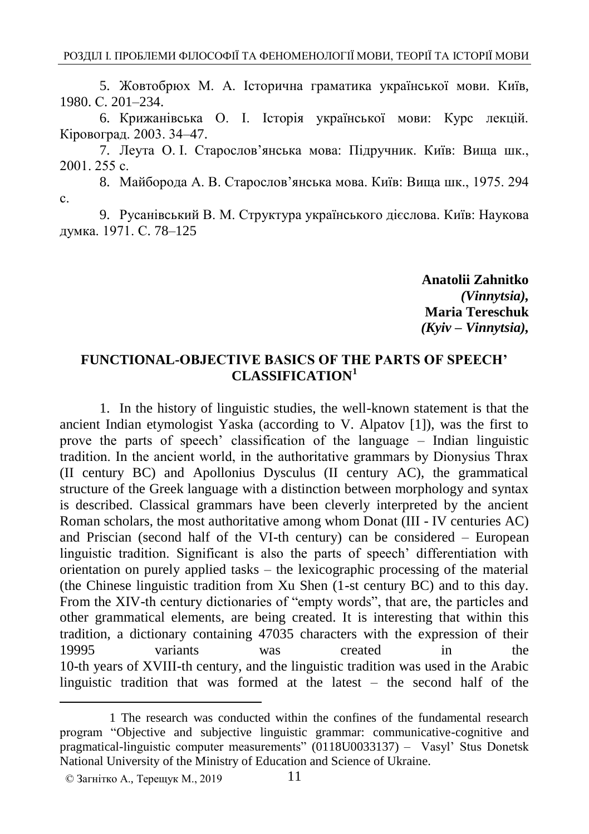5. Жовтобрюх М. А. Історична граматика української мови. Київ, 1980. С. 201–234.

6. Крижанівська О. І. Історія української мови: Курс лекцій. Кіровоград. 2003. 34–47.

7. Леута О. І. Старослов'янська мова: Підручник. Київ: Вища шк., 2001. 255 с.

8. Майборода А. В. Старослов'янська мова. Київ: Вища шк., 1975. 294 с.

9. Русанівський В. М. Структура українського дієслова. Київ: Наукова думка. 1971. С. 78–125

> **Anatolii Zahnitko** *(Vinnytsia),* **Maria Tereschuk** *(Kyiv – Vinnytsia),*

## **FUNCTIONAL-OBJECTIVE BASICS OF THE PARTS OF SPEECH' CLASSIFICATION<sup>1</sup>**

1. In the history of linguistic studies, the well-known statement is that the ancient Indian etymologist Yaska (according to V. Alpatov [1]), was the first to prove the parts of speech' classification of the language – Indian linguistic tradition. In the ancient world, in the authoritative grammars by Dionysius Thraх (II century BC) and Apollonius Dysculus (II century AC), the grammatical structure of the Greek language with a distinction between morphology and syntax is described. Classical grammars have been cleverly interpreted by the ancient Roman scholars, the most authoritative among whom Donat (III - IV centuries AC) and Priscian (second half of the VI-th century) can be considered – European linguistic tradition. Significant is also the parts of speech' differentiation with orientation on purely applied tasks – the lexicographic processing of the material (the Chinese linguistic tradition from Xu Shen (1-st century BC) and to this day. From the XIV-th century dictionaries of "empty words", that are, the particles and other grammatical elements, are being created. It is interesting that within this tradition, a dictionary containing 47035 characters with the expression of their 19995 variants was created in the 10-th years of XVIII-th century, and the linguistic tradition was used in the Arabic linguistic tradition that was formed at the latest – the second half of the

 $\overline{a}$ 

<sup>1</sup> The research was conducted within the confines of the fundamental research program ―Objective and subjective linguistic grammar: communicative-cognitive and pragmatical-linguistic computer measurements‖ (0118U0033137) – Vasyl' Stus Donetsk National University of the Ministry of Education and Science of Ukraine.

<sup>©</sup> Загнітко А., Терещук М., 2019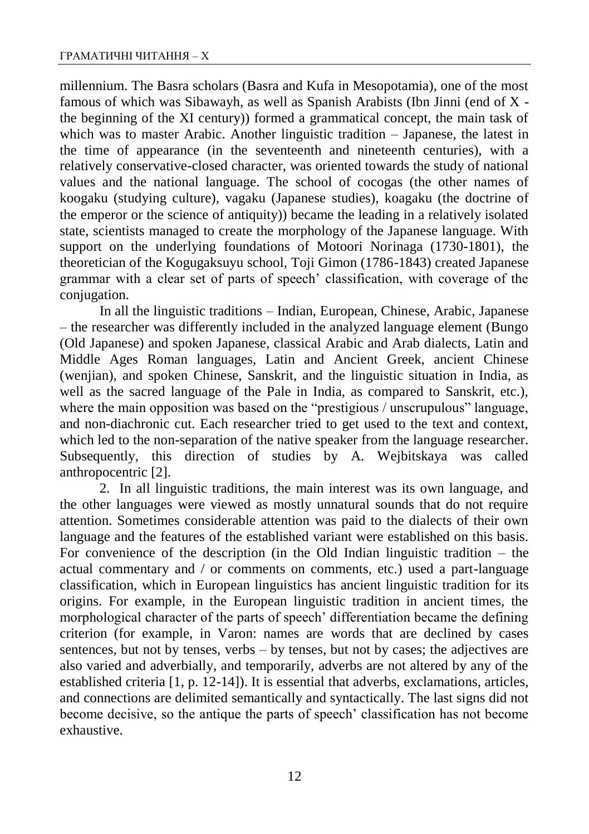millennium. The Basra scholars (Basra and Kufa in Mesopotamia), one of the most famous of which was Sibawayh, as well as Spanish Arabists (Ibn Jinni (end of X the beginning of the XI century)) formed a grammatical concept, the main task of which was to master Arabic. Another linguistic tradition – Japanese, the latest in the time of appearance (in the seventeenth and nineteenth centuries), with a relatively conservative-closed character, was oriented towards the study of national values and the national language. The school of cocogas (the other names of koogaku (studying culture), vagaku (Japanese studies), koagaku (the doctrine of the emperor or the science of antiquity)) became the leading in a relatively isolated state, scientists managed to create the morphology of the Japanese language. With support on the underlying foundations of Motoori Norinaga (1730-1801), the theoretician of the Kogugaksuyu school, Toji Gimon (1786-1843) created Japanese grammar with a clear set of parts of speech' classification, with coverage of the conjugation.

In all the linguistic traditions – Indian, European, Chinese, Arabic, Japanese – the researcher was differently included in the analyzed language element (Bungo (Old Japanese) and spoken Japanese, classical Arabic and Arab dialects, Latin and Middle Ages Roman languages, Latin and Ancient Greek, ancient Chinese (wenjian), and spoken Chinese, Sanskrit, and the linguistic situation in India, as well as the sacred language of the Pale in India, as compared to Sanskrit, etc.), where the main opposition was based on the "prestigious / unscrupulous" language, and non-diachronic cut. Each researcher tried to get used to the text and context, which led to the non-separation of the native speaker from the language researcher. Subsequently, this direction of studies by A. Wejbitskaya was called anthropocentric [2].

2. In all linguistic traditions, the main interest was its own language, and the other languages were viewed as mostly unnatural sounds that do not require attention. Sometimes considerable attention was paid to the dialects of their own language and the features of the established variant were established on this basis. For convenience of the description (in the Old Indian linguistic tradition – the actual commentary and / or comments on comments, etc.) used a part-language classification, which in European linguistics has ancient linguistic tradition for its origins. For example, in the European linguistic tradition in ancient times, the morphological character of the parts of speech' differentiation became the defining criterion (for example, in Varon: names are words that are declined by cases sentences, but not by tenses, verbs – by tenses, but not by cases; the adjectives are also varied and adverbially, and temporarily, adverbs are not altered by any of the established criteria [1, p. 12-14]). It is essential that adverbs, exclamations, articles, and connections are delimited semantically and syntactically. The last signs did not become decisive, so the antique the parts of speech' classification has not become exhaustive.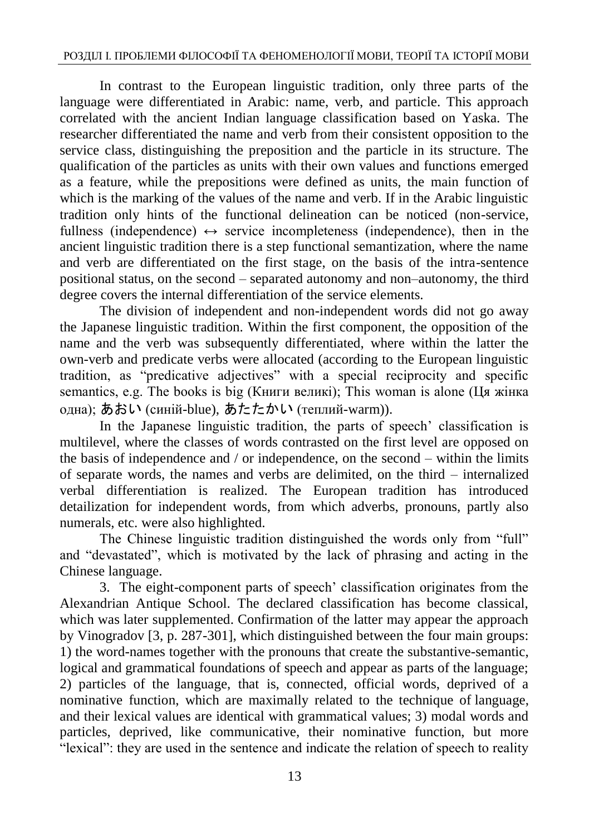In contrast to the European linguistic tradition, only three parts of the language were differentiated in Arabic: name, verb, and particle. This approach correlated with the ancient Indian language classification based on Yaska. The researcher differentiated the name and verb from their consistent opposition to the service class, distinguishing the preposition and the particle in its structure. The qualification of the particles as units with their own values and functions emerged as a feature, while the prepositions were defined as units, the main function of which is the marking of the values of the name and verb. If in the Arabic linguistic tradition only hints of the functional delineation can be noticed (non-service, fullness (independence)  $\leftrightarrow$  service incompleteness (independence), then in the ancient linguistic tradition there is a step functional semantization, where the name and verb are differentiated on the first stage, on the basis of the intra-sentence positional status, on the second – separated autonomy and non–autonomy, the third degree covers the internal differentiation of the service elements.

The division of independent and non-independent words did not go away the Japanese linguistic tradition. Within the first component, the opposition of the name and the verb was subsequently differentiated, where within the latter the own-verb and predicate verbs were allocated (according to the European linguistic tradition, as "predicative adjectives" with a special reciprocity and specific semantics, e.g. The books is big (Книги великі); This woman is alone (Ця жінка одна); あおい (синій-blue), あたたかい (теплий-warm)).

In the Japanese linguistic tradition, the parts of speech' classification is multilevel, where the classes of words contrasted on the first level are opposed on the basis of independence and / or independence, on the second – within the limits of separate words, the names and verbs are delimited, on the third – internalized verbal differentiation is realized. The European tradition has introduced detailization for independent words, from which adverbs, pronouns, partly also numerals, etc. were also highlighted.

The Chinese linguistic tradition distinguished the words only from "full" and "devastated", which is motivated by the lack of phrasing and acting in the Chinese language.

3. The eight-component parts of speech' classification originates from the Alexandrian Antique School. The declared classification has become classical, which was later supplemented. Confirmation of the latter may appear the approach by Vinogradov [3, p. 287-301], which distinguished between the four main groups: 1) the word-names together with the pronouns that create the substantive-semantic, logical and grammatical foundations of speech and appear as parts of the language; 2) particles of the language, that is, connected, official words, deprived of a nominative function, which are maximally related to the technique of language, and their lexical values are identical with grammatical values; 3) modal words and particles, deprived, like communicative, their nominative function, but more ―lexical‖: they are used in the sentence and indicate the relation of speech to reality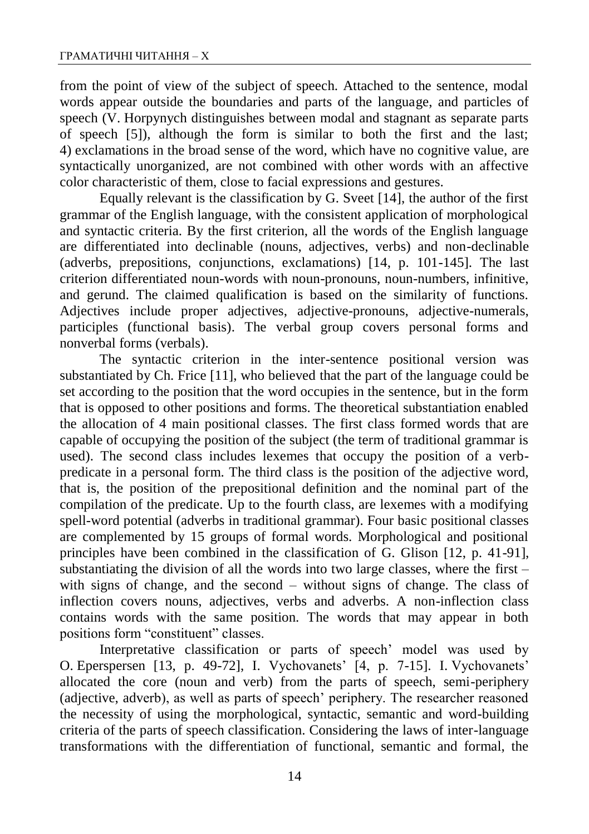from the point of view of the subject of speech. Attached to the sentence, modal words appear outside the boundaries and parts of the language, and particles of speech (V. Horpynych distinguishes between modal and stagnant as separate parts of speech [5]), although the form is similar to both the first and the last; 4) exclamations in the broad sense of the word, which have no cognitive value, are syntactically unorganized, are not combined with other words with an affective color characteristic of them, close to facial expressions and gestures.

Equally relevant is the classification by G. Sveet [14], the author of the first grammar of the English language, with the consistent application of morphological and syntactic criteria. By the first criterion, all the words of the English language are differentiated into declinable (nouns, adjectives, verbs) and non-declinable (adverbs, prepositions, conjunctions, exclamations) [14, p. 101-145]. The last criterion differentiated noun-words with noun-pronouns, noun-numbers, infinitive, and gerund. The claimed qualification is based on the similarity of functions. Adjectives include proper adjectives, adjective-pronouns, adjective-numerals, participles (functional basis). The verbal group covers personal forms and nonverbal forms (verbals).

The syntactic criterion in the inter-sentence positional version was substantiated by Ch. Frice [11], who believed that the part of the language could be set according to the position that the word occupies in the sentence, but in the form that is opposed to other positions and forms. The theoretical substantiation enabled the allocation of 4 main positional classes. The first class formed words that are capable of occupying the position of the subject (the term of traditional grammar is used). The second class includes lexemes that occupy the position of a verbpredicate in a personal form. The third class is the position of the adjective word, that is, the position of the prepositional definition and the nominal part of the compilation of the predicate. Up to the fourth class, are lexemes with a modifying spell-word potential (adverbs in traditional grammar). Four basic positional classes are complemented by 15 groups of formal words. Morphological and positional principles have been combined in the classification of G. Glison [12, p. 41-91], substantiating the division of all the words into two large classes, where the first – with signs of change, and the second – without signs of change. The class of inflection covers nouns, adjectives, verbs and adverbs. A non-inflection class contains words with the same position. The words that may appear in both positions form "constituent" classes.

Interpretative classification or parts of speech' model was used by O. Eperspersen [13, p. 49-72], I. Vychovanets' [4, p. 7-15]. I. Vychovanets' allocated the core (noun and verb) from the parts of speech, semi-periphery (adjective, adverb), as well as parts of speech' periphery. The researcher reasoned the necessity of using the morphological, syntactic, semantic and word-building criteria of the parts of speech classification. Considering the laws of inter-language transformations with the differentiation of functional, semantic and formal, the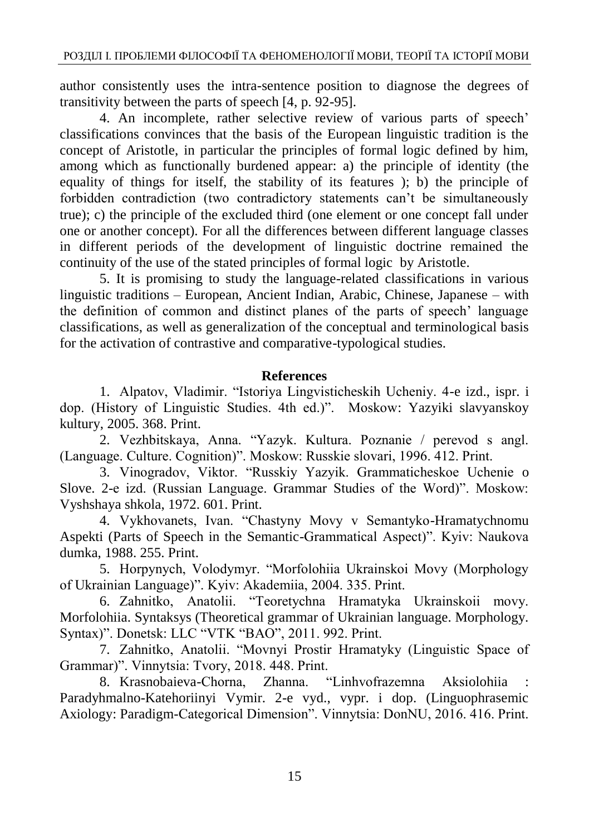author consistently uses the intra-sentence position to diagnose the degrees of transitivity between the parts of speech [4, p. 92-95].

4. An incomplete, rather selective review of various parts of speech' classifications convinces that the basis of the European linguistic tradition is the concept of Aristotle, in particular the principles of formal logic defined by him, among which as functionally burdened appear: a) the principle of identity (the equality of things for itself, the stability of its features ); b) the principle of forbidden contradiction (two contradictory statements can't be simultaneously true); c) the principle of the excluded third (one element or one concept fall under one or another concept). For all the differences between different language classes in different periods of the development of linguistic doctrine remained the continuity of the use of the stated principles of formal logic by Aristotle.

5. It is promising to study the language-related classifications in various linguistic traditions – European, Ancient Indian, Arabic, Chinese, Japanese – with the definition of common and distinct planes of the parts of speech' language classifications, as well as generalization of the conceptual and terminological basis for the activation of contrastive and comparative-typological studies.

## **References**

1. Alpatov, Vladimir. "Istoriya Lingvisticheskih Ucheniy. 4-e izd., ispr. i dop. (History of Linguistic Studies. 4th ed.)". Moskow: Yazyiki slavyanskoy kultury, 2005. 368. Print.

2. Vezhbitskaya, Anna. "Yazyk. Kultura. Poznanie / perevod s angl. (Language. Culture. Cognition)". Moskow: Russkie slovari, 1996. 412. Print.

3. Vinogradov, Viktor. "Russkiy Yazyik. Grammaticheskoe Uchenie o Slove. 2-e izd. (Russian Language. Grammar Studies of the Word)". Moskow: Vyshshaya shkola, 1972. 601. Print.

4. Vykhovanets, Ivan. "Chastyny Movy v Semantyko-Hramatychnomu Aspekti (Parts of Speech in the Semantic-Grammatical Aspect)". Kviv: Naukova dumka, 1988. 255. Print.

5. Horpynych, Volodymyr. "Morfolohiia Ukrainskoi Movy (Morphology of Ukrainian Language)". Kyiv: Akademiia, 2004. 335. Print.

6. Zahnitko, Anatolii. "Teoretychna Hramatyka Ukrainskoii movy. Morfolohiia. Syntaksys (Theoretical grammar of Ukrainian language. Morphology. Syntax)". Donetsk: LLC "VTK "BAO", 2011. 992. Print.

7. Zahnitko, Anatolii. "Movnyi Prostir Hramatyky (Linguistic Space of Grammar)". Vinnytsia: Tvory, 2018. 448. Print.

8. Krasnobaieva-Chorna, Zhanna. 
"Linhvofrazemna Aksiolohiia Paradyhmalno-Katehoriinyi Vymir. 2-e vyd., vypr. i dop. (Linguophrasemic Axiology: Paradigm-Categorical Dimension". Vinnytsia: DonNU, 2016. 416. Print.